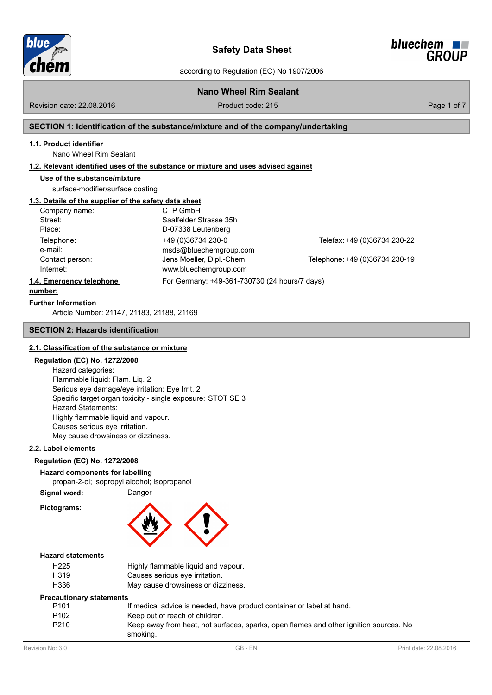

**Safety Data Sheet**



according to Regulation (EC) No 1907/2006

# **Nano Wheel Rim Sealant**

Revision date: 22.08.2016

Product code: 215 Product code: 215

# **SECTION 1: Identification of the substance/mixture and of the company/undertaking**

### **1.1. Product identifier**

Nano Wheel Rim Sealant

### **1.2. Relevant identified uses of the substance or mixture and uses advised against**

#### **Use of the substance/mixture**

surface-modifier/surface coating

# **1.3. Details of the supplier of the safety data sheet**

| Company name:            | CTP GmbH                                      |                                |
|--------------------------|-----------------------------------------------|--------------------------------|
| Street:                  | Saalfelder Strasse 35h                        |                                |
| Place:                   | D-07338 Leutenberg                            |                                |
| Telephone:               | +49 (0)36734 230-0                            | Telefax: +49 (0)36734 230-22   |
| e-mail:                  | msds@bluechemgroup.com                        |                                |
| Contact person:          | Jens Moeller, Dipl.-Chem.                     | Telephone: +49 (0)36734 230-19 |
| Internet:                | www.bluechemgroup.com                         |                                |
| 1.4. Emergency telephone | For Germany: +49-361-730730 (24 hours/7 days) |                                |

#### **number:**

**Further Information**

Article Number: 21147, 21183, 21[188, 21169](http://www.bluechemgroup.com)

#### **SECTION 2: Hazards identification**

#### **2.1. Classification of the substance or mixture**

#### **Regulation (EC) No. 1272/2008**

Hazard categories: Flammable liquid: Flam. Liq. 2 Serious eye damage/eye irritation: Eye Irrit. 2 Specific target organ toxicity - single exposure: STOT SE 3 Hazard Statements: Highly flammable liquid and vapour. Causes serious eye irritation. May cause drowsiness or dizziness.

#### **2.2. Label elements**

# **Regulation (EC) No. 1272/2008**

**Hazard components for labelling**

propan-2-ol; isopropyl alcohol; isopropanol

### **Signal word:** Danger

**Pictograms:**



#### **Hazard statements**

| H <sub>225</sub> | Highly flammable liquid and vapour. |
|------------------|-------------------------------------|
| H319             | Causes serious eye irritation.      |
| H336             | May cause drowsiness or dizziness.  |

#### **Precautionary statements**

| P101             | If medical advice is needed, have product container or label at hand.                             |
|------------------|---------------------------------------------------------------------------------------------------|
| P <sub>102</sub> | Keep out of reach of children.                                                                    |
| P210             | Keep away from heat, hot surfaces, sparks, open flames and other ignition sources. No<br>smoking. |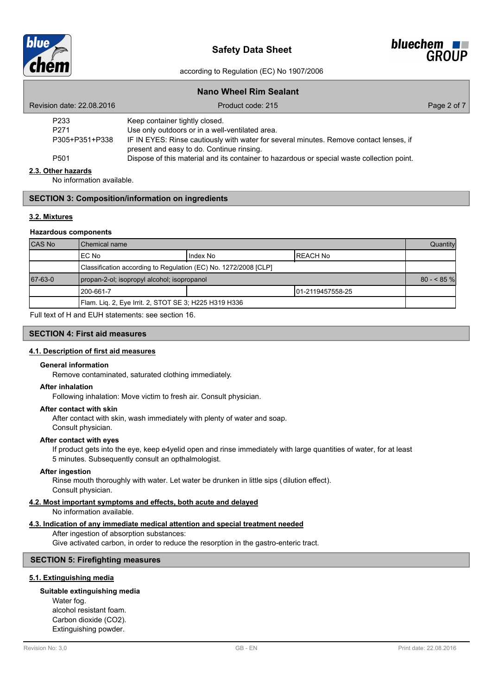



|                           | <b>Nano Wheel Rim Sealant</b>                                                                                                       |             |
|---------------------------|-------------------------------------------------------------------------------------------------------------------------------------|-------------|
| Revision date: 22.08.2016 | Product code: 215                                                                                                                   | Page 2 of 7 |
| P233                      | Keep container tightly closed.                                                                                                      |             |
| P <sub>271</sub>          | Use only outdoors or in a well-ventilated area.                                                                                     |             |
| P305+P351+P338            | IF IN EYES: Rinse cautiously with water for several minutes. Remove contact lenses, if<br>present and easy to do. Continue rinsing. |             |
| P <sub>501</sub>          | Dispose of this material and its container to hazardous or special waste collection point.                                          |             |
| 2.3. Other hazards        |                                                                                                                                     |             |
|                           |                                                                                                                                     |             |

No information available.

### **SECTION 3: Composition/information on ingredients**

#### **3.2. Mixtures**

#### **Hazardous components**

| <b>CAS No</b> | l Chemical name                                                 |          |                   | Quantity    |
|---------------|-----------------------------------------------------------------|----------|-------------------|-------------|
|               | IEC No                                                          | Index No | IREACH No         |             |
|               | Classification according to Regulation (EC) No. 1272/2008 [CLP] |          |                   |             |
| 67-63-0       | propan-2-ol; isopropyl alcohol; isopropanol                     |          |                   | $80 - 85$ % |
|               | 200-661-7                                                       |          | 101-2119457558-25 |             |
|               | Flam. Liq. 2, Eye Irrit. 2, STOT SE 3; H225 H319 H336           |          |                   |             |

Full text of H and EUH statements: see section 16.

#### **SECTION 4: First aid measures**

#### **4.1. Description of first aid measures**

#### **General information**

Remove contaminated, saturated clothing immediately.

#### **After inhalation**

Following inhalation: Move victim to fresh air. Consult physician.

#### **After contact with skin**

After contact with skin, wash immediately with plenty of water and soap. Consult physician.

#### **After contact with eyes**

If product gets into the eye, keep e4yelid open and rinse immediately with large quantities of water, for at least 5 minutes. Subsequently consult an opthalmologist.

### **After ingestion**

Rinse mouth thoroughly with water. Let water be drunken in little sips (dilution effect). Consult physician.

#### **4.2. Most important symptoms and effects, both acute and delayed**

No information available.

### **4.3. Indication of any immediate medical attention and special treatment needed**

After ingestion of absorption substances:

Give activated carbon, in order to reduce the resorption in the gastro-enteric tract.

## **SECTION 5: Firefighting measures**

### **5.1. Extinguishing media**

#### **Suitable extinguishing media**

Water fog. alcohol resistant foam. Carbon dioxide (CO2). Extinguishing powder.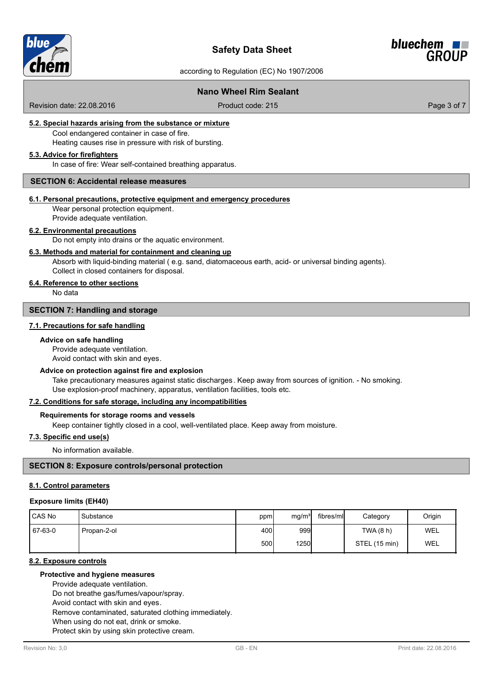



# **Nano Wheel Rim Sealant**

Revision date: 22.08.2016

Product code: 215 Product code: 215

### **5.2. Special hazards arising from the substance or mixture**

Cool endangered container in case of fire. Heating causes rise in pressure with risk of bursting.

#### **5.3. Advice for firefighters**

In case of fire: Wear self-contained breathing apparatus.

#### **SECTION 6: Accidental release measures**

#### **6.1. Personal precautions, protective equipment and emergency procedures**

Wear personal protection equipment. Provide adequate ventilation.

#### **6.2. Environmental precautions**

Do not empty into drains or the aquatic environment.

#### **6.3. Methods and material for containment and cleaning up**

Absorb with liquid-binding material ( e.g. sand, diatomaceous earth, acid- or universal binding agents). Collect in closed containers for disposal.

### **6.4. Reference to other sections**

No data

# **SECTION 7: Handling and storage**

#### **7.1. Precautions for safe handling**

#### **Advice on safe handling**

Provide adequate ventilation.

Avoid contact with skin and eyes.

#### **Advice on protection against fire and explosion**

Take precautionary measures against static discharges. Keep away from sources of ignition. - No smoking. Use explosion-proof machinery, apparatus, ventilation facilities, tools etc.

### **7.2. Conditions for safe storage, including any incompatibilities**

#### **Requirements for storage rooms and vessels**

Keep container tightly closed in a cool, well-ventilated place. Keep away from moisture.

### **7.3. Specific end use(s)**

No information available.

#### **SECTION 8: Exposure controls/personal protection**

### **8.1. Control parameters**

#### **Exposure limits (EH40)**

| CAS No  | Substance   | ppm  | mg/m <sup>3</sup> | fibres/mll | Category      | Origin     |
|---------|-------------|------|-------------------|------------|---------------|------------|
| 67-63-0 | Propan-2-ol | 400  | 999               |            | TWA (8 h)     | <b>WEL</b> |
|         |             | 500l | 1250              |            | STEL (15 min) | <b>WEL</b> |

#### **8.2. Exposure controls**

#### **Protective and hygiene measures**

Provide adequate ventilation.

Do not breathe gas/fumes/vapour/spray.

Avoid contact with skin and eyes.

Remove contaminated, saturated clothing immediately.

When using do not eat, drink or smoke.

Protect skin by using skin protective cream.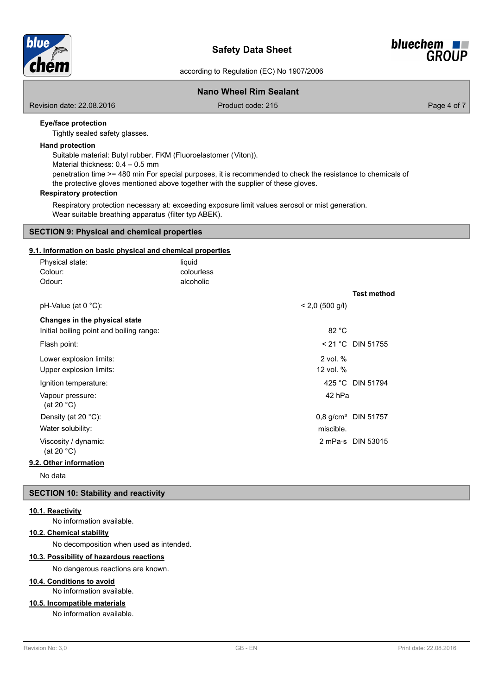



### **Nano Wheel Rim Sealant**

Revision date: 22.08.2016

Product code: 215 Product code: 215

### **Eye/face protection**

Tightly sealed safety glasses.

#### **Hand protection**

Suitable material: Butyl rubber. FKM (Fluoroelastomer (Viton)). Material thickness: 0.4 – 0.5 mm penetration time >= 480 min For special purposes, it is recommended to check the resistance to chemicals of the protective gloves mentioned above together with the supplier of these gloves.

### **Respiratory protection**

Respiratory protection necessary at: exceeding exposure limit values aerosol or mist generation. Wear suitable breathing apparatus (filter typ ABEK).

### **SECTION 9: Physical and chemical properties**

### **9.1. Information on basic physical and chemical properties**

| Physical state:                          | liquid     |                   |                                 |
|------------------------------------------|------------|-------------------|---------------------------------|
| Colour:                                  | colourless |                   |                                 |
| Odour:                                   | alcoholic  |                   |                                 |
|                                          |            |                   | <b>Test method</b>              |
| $pH-Value$ (at 0 °C):                    |            | $< 2,0$ (500 g/l) |                                 |
| Changes in the physical state            |            |                   |                                 |
| Initial boiling point and boiling range: |            | 82 °C             |                                 |
| Flash point:                             |            |                   | < 21 °C DIN 51755               |
| Lower explosion limits:                  |            | $2$ vol. $%$      |                                 |
| Upper explosion limits:                  |            | 12 vol. %         |                                 |
| Ignition temperature:                    |            |                   | 425 °C DIN 51794                |
| Vapour pressure:<br>(at 20 $^{\circ}$ C) |            | 42 hPa            |                                 |
| Density (at 20 °C):                      |            |                   | 0,8 g/cm <sup>3</sup> DIN 51757 |
| Water solubility:                        |            | miscible.         |                                 |
| Viscosity / dynamic:<br>(at 20 $°C$ )    |            |                   | $2$ mPa $\cdot$ s DIN 53015     |
| 9.2. Other information                   |            |                   |                                 |

No data

### **SECTION 10: Stability and reactivity**

#### **10.1. Reactivity**

No information available.

#### **10.2. Chemical stability**

No decomposition when used as intended.

### **10.3. Possibility of hazardous reactions**

No dangerous reactions are known.

### **10.4. Conditions to avoid**

No information available.

# **10.5. Incompatible materials**

No information available.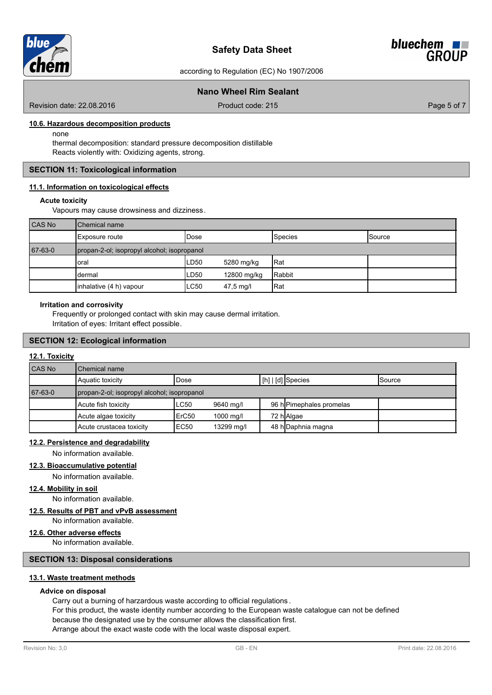



### **Nano Wheel Rim Sealant**

Revision date: 22.08.2016

Product code: 215 Product code: 215

#### **10.6. Hazardous decomposition products**

none

thermal decomposition: standard pressure decomposition distillable Reacts violently with: Oxidizing agents, strong.

#### **SECTION 11: Toxicological information**

#### **11.1. Information on toxicological effects**

#### **Acute toxicity**

Vapours may cause drowsiness and dizziness.

| CAS No  | <b>I</b> Chemical name                      |                  |             |                |        |  |
|---------|---------------------------------------------|------------------|-------------|----------------|--------|--|
|         | <b>Exposure route</b>                       | <b>IDose</b>     |             | <b>Species</b> | Source |  |
| 67-63-0 | propan-2-ol; isopropyl alcohol; isopropanol |                  |             |                |        |  |
|         | oral                                        | LD <sub>50</sub> | 5280 mg/kg  | Rat            |        |  |
|         | dermal                                      | LD <sub>50</sub> | 12800 mg/kg | Rabbit         |        |  |
|         | inhalative (4 h) vapour                     | ILC50            | 47,5 mg/l   | Rat            |        |  |

#### **Irritation and corrosivity**

Frequently or prolonged contact with skin may cause dermal irritation. Irritation of eyes: Irritant effect possible.

#### **SECTION 12: Ecological information**

### **12.1. Toxicity**

| <b>CAS No</b> | Chemical name                               |                  |            |  |                          |               |  |  |
|---------------|---------------------------------------------|------------------|------------|--|--------------------------|---------------|--|--|
|               | Aquatic toxicity                            | Dose             |            |  | [h]   [d] Species        | <b>Source</b> |  |  |
| 67-63-0       | propan-2-ol; isopropyl alcohol; isopropanol |                  |            |  |                          |               |  |  |
|               | Acute fish toxicity                         | LC50             | 9640 mg/l  |  | 96 hlPimephales promelas |               |  |  |
|               | Acute algae toxicity                        | ErC50            | 1000 mg/l  |  | 72 h Algae               |               |  |  |
|               | Acute crustacea toxicity                    | EC <sub>50</sub> | 13299 mg/l |  | 48 hDaphnia magna        |               |  |  |

### **12.2. Persistence and degradability**

No information available.

### **12.3. Bioaccumulative potential**

No information available.

# **12.4. Mobility in soil**

No information available.

# **12.5. Results of PBT and vPvB assessment**

No information available.

#### **12.6. Other adverse effects**

No information available.

### **SECTION 13: Disposal considerations**

### **13.1. Waste treatment methods**

#### **Advice on disposal**

Carry out a burning of harzardous waste according to official regulations . For this product, the waste identity number according to the European waste catalogue can not be defined because the designated use by the consumer allows the classification first. Arrange about the exact waste code with the local waste disposal expert.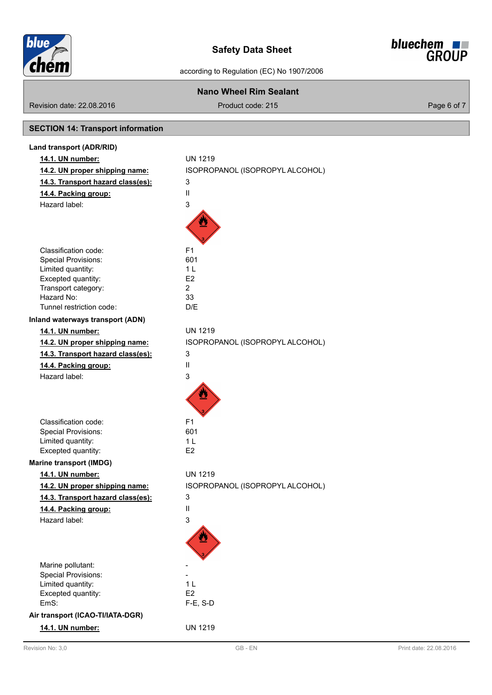



| <b>Nano Wheel Rim Sealant</b>             |                                 |             |  |  |
|-------------------------------------------|---------------------------------|-------------|--|--|
| Revision date: 22.08.2016                 | Product code: 215               | Page 6 of 7 |  |  |
| <b>SECTION 14: Transport information</b>  |                                 |             |  |  |
| Land transport (ADR/RID)                  |                                 |             |  |  |
|                                           | <b>UN 1219</b>                  |             |  |  |
| 14.1. UN number:                          |                                 |             |  |  |
| 14.2. UN proper shipping name:            | ISOPROPANOL (ISOPROPYL ALCOHOL) |             |  |  |
| 14.3. Transport hazard class(es):         | 3                               |             |  |  |
| 14.4. Packing group:                      | $\sf II$                        |             |  |  |
| Hazard label:                             | 3                               |             |  |  |
|                                           | ⋓                               |             |  |  |
| Classification code:                      | F <sub>1</sub>                  |             |  |  |
| <b>Special Provisions:</b>                | 601                             |             |  |  |
| Limited quantity:                         | 1 <sub>L</sub>                  |             |  |  |
| Excepted quantity:<br>Transport category: | E2<br>$\overline{2}$            |             |  |  |
| Hazard No:                                | 33                              |             |  |  |
| Tunnel restriction code:                  | D/E                             |             |  |  |
| Inland waterways transport (ADN)          |                                 |             |  |  |
| 14.1. UN number:                          | <b>UN 1219</b>                  |             |  |  |
| 14.2. UN proper shipping name:            | ISOPROPANOL (ISOPROPYL ALCOHOL) |             |  |  |
| 14.3. Transport hazard class(es):         | 3                               |             |  |  |
| 14.4. Packing group:                      | Ш                               |             |  |  |
| Hazard label:                             | 3                               |             |  |  |
|                                           |                                 |             |  |  |
| Classification code:                      | F <sub>1</sub>                  |             |  |  |
| <b>Special Provisions:</b>                | 601                             |             |  |  |
| Limited quantity:                         | 1 <sub>L</sub>                  |             |  |  |
| Excepted quantity:                        | E <sub>2</sub>                  |             |  |  |
| <b>Marine transport (IMDG)</b>            |                                 |             |  |  |
| 14.1. UN number:                          | <b>UN 1219</b>                  |             |  |  |
| 14.2. UN proper shipping name:            | ISOPROPANOL (ISOPROPYL ALCOHOL) |             |  |  |
| 14.3. Transport hazard class(es):         | 3                               |             |  |  |
| 14.4. Packing group:                      | $\ensuremath{\mathsf{II}}$      |             |  |  |
| Hazard label:                             | 3                               |             |  |  |
|                                           |                                 |             |  |  |
| Marine pollutant:                         |                                 |             |  |  |
| <b>Special Provisions:</b>                |                                 |             |  |  |
| Limited quantity:                         | 1 <sub>L</sub>                  |             |  |  |
| Excepted quantity:<br>EmS:                | E <sub>2</sub><br>$F-E$ , S-D   |             |  |  |
|                                           |                                 |             |  |  |
| Air transport (ICAO-TI/IATA-DGR)          |                                 |             |  |  |
| 14.1. UN number:                          | <b>UN 1219</b>                  |             |  |  |